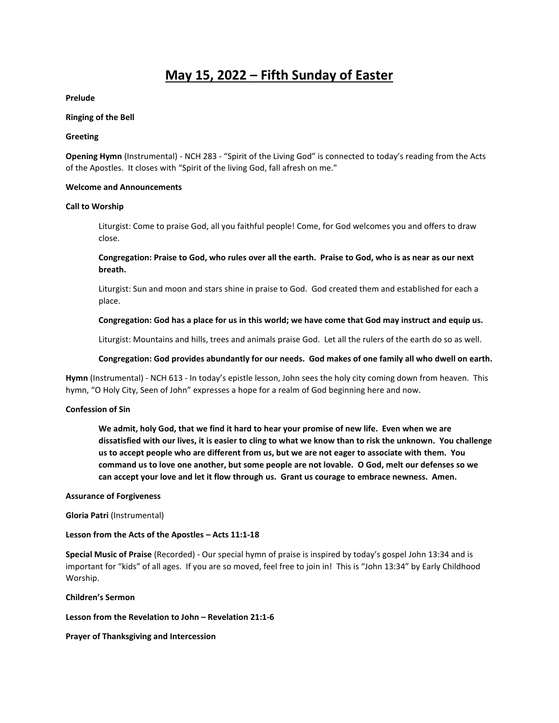# **May 15, 2022 – Fifth Sunday of Easter**

## **Prelude**

#### **Ringing of the Bell**

#### **Greeting**

**Opening Hymn** (Instrumental) - NCH 283 - "Spirit of the Living God" is connected to today's reading from the Acts of the Apostles. It closes with "Spirit of the living God, fall afresh on me."

#### **Welcome and Announcements**

#### **Call to Worship**

Liturgist: Come to praise God, all you faithful people! Come, for God welcomes you and offers to draw close.

**Congregation: Praise to God, who rules over all the earth. Praise to God, who is as near as our next breath.**

Liturgist: Sun and moon and stars shine in praise to God. God created them and established for each a place.

## **Congregation: God has a place for us in this world; we have come that God may instruct and equip us.**

Liturgist: Mountains and hills, trees and animals praise God. Let all the rulers of the earth do so as well.

## **Congregation: God provides abundantly for our needs. God makes of one family all who dwell on earth.**

**Hymn** (Instrumental) - NCH 613 - In today's epistle lesson, John sees the holy city coming down from heaven. This hymn, "O Holy City, Seen of John" expresses a hope for a realm of God beginning here and now.

## **Confession of Sin**

**We admit, holy God, that we find it hard to hear your promise of new life. Even when we are dissatisfied with our lives, it is easier to cling to what we know than to risk the unknown. You challenge us to accept people who are different from us, but we are not eager to associate with them. You command us to love one another, but some people are not lovable. O God, melt our defenses so we can accept your love and let it flow through us. Grant us courage to embrace newness. Amen.** 

#### **Assurance of Forgiveness**

## **Gloria Patri** (Instrumental)

## **Lesson from the Acts of the Apostles – Acts 11:1-18**

**Special Music of Praise** (Recorded) - Our special hymn of praise is inspired by today's gospel John 13:34 and is important for "kids" of all ages. If you are so moved, feel free to join in! This is "John 13:34" by Early Childhood Worship.

#### **Children's Sermon**

**Lesson from the Revelation to John – Revelation 21:1-6**

**Prayer of Thanksgiving and Intercession**